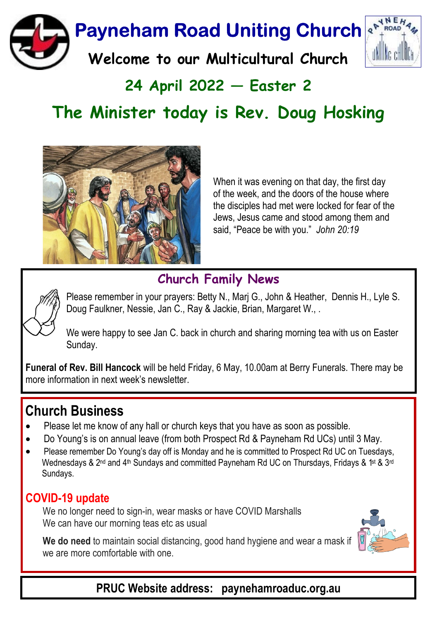

# $24$  April 2022  $-$  Easter 2 The Minister today is Rev. Doug Hosking



When it was evening on that day, the first day of the week, and the doors of the house where the disciples had met were locked for fear of the Jews, Jesus came and stood among them and said. "Peace be with you." John 20:19

### Church Family News



Please remember in your prayers: Betty N., Marj G., John & Heather, Dennis H., Lyle S. Doug Faulkner, Nessie, Jan C., Ray & Jackie, Brian, Margaret W., .

We were happy to see Jan C. back in church and sharing morning tea with us on Easter Sunday.

Funeral of Rev. Bill Hancock will be held Friday, 6 May, 10.00am at Berry Funerals. There may be more information in next week's newsletter.

## Church Business

- · Please let me know of any hall or church keys that you have as soon as possible.
- · Do Young's is on annual leave (from both Prospect Rd & Payneham Rd UCs) until 3 May.
- · Please remember Do Young's day off is Monday and he is committed to Prospect Rd UC on Tuesdays, Wednesdays & 2<sup>nd</sup> and 4<sup>th</sup> Sundays and committed Payneham Rd UC on Thursdays, Fridays & 1<sup>st</sup> & 3<sup>rd</sup> Sundays.

### COVID-19 update

We no longer need to sign-in, wear masks or have COVID Marshalls We can have our morning teas etc as usual





PRUC Website address: paynehamroaduc.org.au